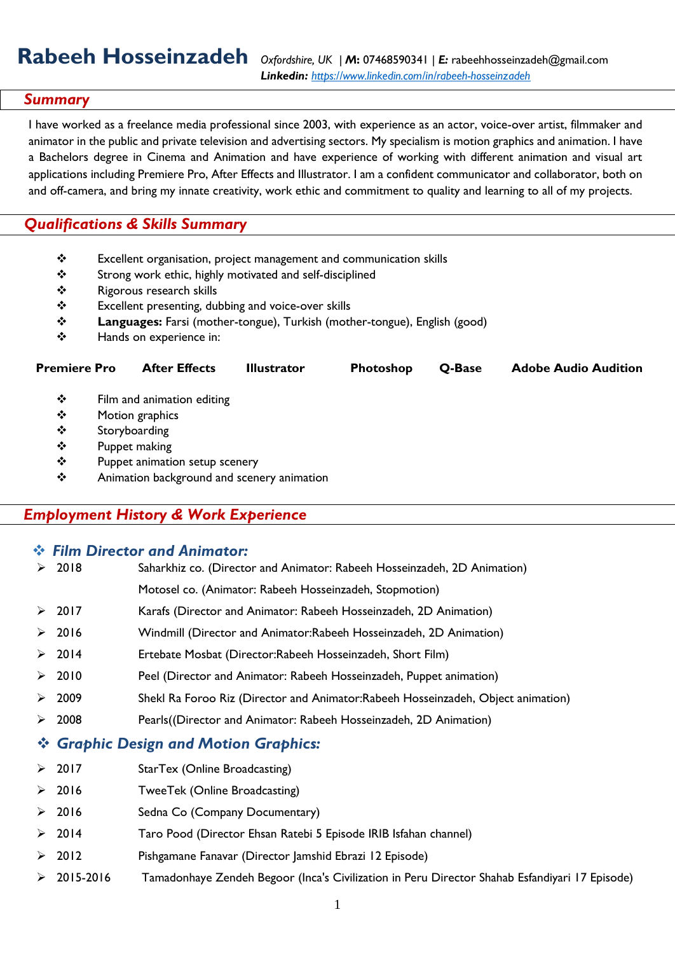# **Rabeeh Hosseinzadeh** *Oxfordshire, UK | M***:** <sup>07468590341</sup> *<sup>|</sup>E:* [rabeehhosseinzadeh@gmail.com](mailto:rabeehhosseinzadeh@gmail.com)

## *Summary*

I have worked as a freelance media professional since 2003, with experience as an actor, voice-over artist, filmmaker and animator in the public and private television and advertising sectors. My specialism is motion graphics and animation. I have a Bachelors degree in Cinema and Animation and have experience of working with different animation and visual art applications including Premiere Pro, After Effects and Illustrator. I am a confident communicator and collaborator, both on and off-camera, and bring my innate creativity, work ethic and commitment to quality and learning to all of my projects.

## *Qualifications & Skills Summary*

- ❖ Excellent organisation, project management and communication skills
- ❖ Strong work ethic, highly motivated and self-disciplined
- ❖ Rigorous research skills
- ❖ Excellent presenting, dubbing and voice-over skills
- ❖ **Languages:** Farsi (mother-tongue), Turkish (mother-tongue), English (good)
- ❖ Hands on experience in:

| <b>Premiere Pro</b>     |               | <b>After Effects</b>       | <b>Illustrator</b> | <b>Photoshop</b> | O-Base | <b>Adobe Audio Audition</b> |
|-------------------------|---------------|----------------------------|--------------------|------------------|--------|-----------------------------|
| ❖                       |               | Film and animation editing |                    |                  |        |                             |
| Motion graphics<br>❖    |               |                            |                    |                  |        |                             |
| ❖                       | Storyboarding |                            |                    |                  |        |                             |
| ❖                       | Puppet making |                            |                    |                  |        |                             |
| $D_{i}$<br>$\mathbf{A}$ |               |                            |                    |                  |        |                             |

❖ Puppet animation setup scenery ❖ Animation background and scenery animation

## *Employment History & Work Experience*

|   | <b>Eilm Director and Animator:</b>    |                                                                                                |  |  |  |  |
|---|---------------------------------------|------------------------------------------------------------------------------------------------|--|--|--|--|
|   | $\geq 2018$                           | Saharkhiz co. (Director and Animator: Rabeeh Hosseinzadeh, 2D Animation)                       |  |  |  |  |
|   |                                       | Motosel co. (Animator: Rabeeh Hosseinzadeh, Stopmotion)                                        |  |  |  |  |
| ➤ | 2017                                  | Karafs (Director and Animator: Rabeeh Hosseinzadeh, 2D Animation)                              |  |  |  |  |
| ➤ | 2016                                  | Windmill (Director and Animator:Rabeeh Hosseinzadeh, 2D Animation)                             |  |  |  |  |
|   | $\geq$ 2014                           | Ertebate Mosbat (Director:Rabeeh Hosseinzadeh, Short Film)                                     |  |  |  |  |
| ≻ | 2010                                  | Peel (Director and Animator: Rabeeh Hosseinzadeh, Puppet animation)                            |  |  |  |  |
| ➤ | 2009                                  | Shekl Ra Foroo Riz (Director and Animator: Rabeeh Hosseinzadeh, Object animation)              |  |  |  |  |
| ➤ | 2008                                  | Pearls((Director and Animator: Rabeeh Hosseinzadeh, 2D Animation)                              |  |  |  |  |
|   | ❖ Graphic Design and Motion Graphics: |                                                                                                |  |  |  |  |
| ➤ | 2017                                  | StarTex (Online Broadcasting)                                                                  |  |  |  |  |
|   | $\geq 2016$                           | TweeTek (Online Broadcasting)                                                                  |  |  |  |  |
|   | $\geq$ 2016                           | Sedna Co (Company Documentary)                                                                 |  |  |  |  |
|   | $\geq 2014$                           | Taro Pood (Director Ehsan Ratebi 5 Episode IRIB Isfahan channel)                               |  |  |  |  |
| ≻ | 2012                                  | Pishgamane Fanavar (Director Jamshid Ebrazi 12 Episode)                                        |  |  |  |  |
| ➤ | 2015-2016                             | Tamadonhaye Zendeh Begoor (Inca's Civilization in Peru Director Shahab Esfandiyari 17 Episode) |  |  |  |  |